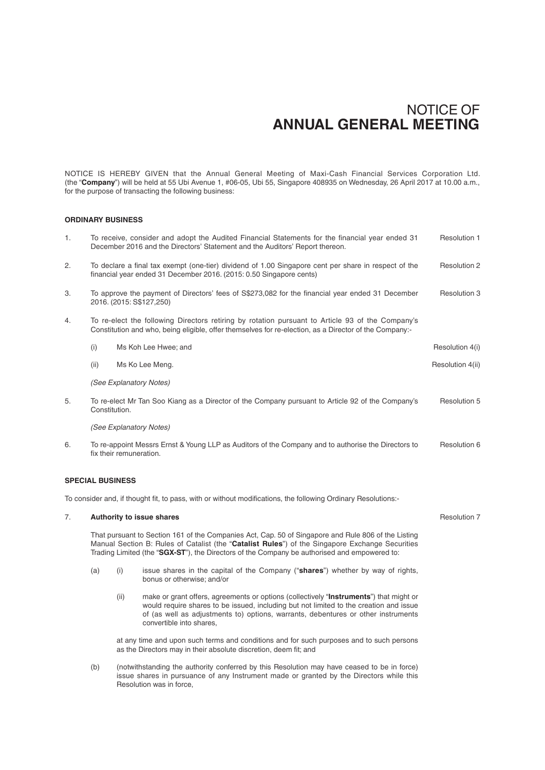NOTICE IS HEREBY GIVEN that the Annual General Meeting of Maxi-Cash Financial Services Corporation Ltd. (the "**Company**") will be held at 55 Ubi Avenue 1, #06-05, Ubi 55, Singapore 408935 on Wednesday, 26 April 2017 at 10.00 a.m., for the purpose of transacting the following business:

## **ORDINARY BUSINESS**

| 1.                                                                                                            | <b>Resolution 1</b><br>To receive, consider and adopt the Audited Financial Statements for the financial year ended 31<br>December 2016 and the Directors' Statement and the Auditors' Report thereon.     |                                                                                                   |                  |
|---------------------------------------------------------------------------------------------------------------|------------------------------------------------------------------------------------------------------------------------------------------------------------------------------------------------------------|---------------------------------------------------------------------------------------------------|------------------|
| 2.                                                                                                            | To declare a final tax exempt (one-tier) dividend of 1.00 Singapore cent per share in respect of the<br>financial year ended 31 December 2016. (2015: 0.50 Singapore cents)                                |                                                                                                   | Resolution 2     |
| 3.                                                                                                            | To approve the payment of Directors' fees of S\$273,082 for the financial year ended 31 December<br>2016. (2015: S\$127,250)                                                                               |                                                                                                   | Resolution 3     |
| 4.                                                                                                            | To re-elect the following Directors retiring by rotation pursuant to Article 93 of the Company's<br>Constitution and who, being eligible, offer themselves for re-election, as a Director of the Company:- |                                                                                                   |                  |
|                                                                                                               | (i)                                                                                                                                                                                                        | Ms Koh Lee Hwee; and                                                                              | Resolution 4(i)  |
|                                                                                                               | (ii)                                                                                                                                                                                                       | Ms Ko Lee Meng.                                                                                   | Resolution 4(ii) |
|                                                                                                               | (See Explanatory Notes)                                                                                                                                                                                    |                                                                                                   |                  |
| 5.                                                                                                            | Constitution.                                                                                                                                                                                              | To re-elect Mr Tan Soo Kiang as a Director of the Company pursuant to Article 92 of the Company's | Resolution 5     |
|                                                                                                               | (See Explanatory Notes)                                                                                                                                                                                    |                                                                                                   |                  |
| 6.                                                                                                            | To re-appoint Messrs Ernst & Young LLP as Auditors of the Company and to authorise the Directors to<br>fix their remuneration.                                                                             |                                                                                                   | Resolution 6     |
| <b>SPECIAL BUSINESS</b>                                                                                       |                                                                                                                                                                                                            |                                                                                                   |                  |
| To consider and, if thought fit, to pass, with or without modifications, the following Ordinary Resolutions:- |                                                                                                                                                                                                            |                                                                                                   |                  |
| 7.                                                                                                            |                                                                                                                                                                                                            | Authority to issue shares                                                                         | Resolution 7     |

That pursuant to Section 161 of the Companies Act, Cap. 50 of Singapore and Rule 806 of the Listing Manual Section B: Rules of Catalist (the "**Catalist Rules**") of the Singapore Exchange Securities Trading Limited (the "**SGX-ST**"), the Directors of the Company be authorised and empowered to:

- (a) (i) issue shares in the capital of the Company ("**shares**") whether by way of rights, bonus or otherwise; and/or
	- (ii) make or grant offers, agreements or options (collectively "**Instruments**") that might or would require shares to be issued, including but not limited to the creation and issue of (as well as adjustments to) options, warrants, debentures or other instruments convertible into shares,

 at any time and upon such terms and conditions and for such purposes and to such persons as the Directors may in their absolute discretion, deem fit; and

(b) (notwithstanding the authority conferred by this Resolution may have ceased to be in force) issue shares in pursuance of any Instrument made or granted by the Directors while this Resolution was in force,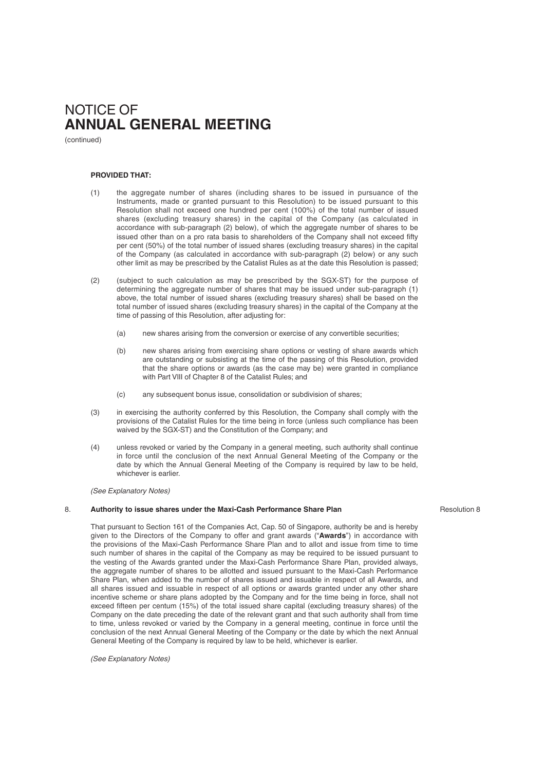(continued)

### **PROVIDED THAT:**

- (1) the aggregate number of shares (including shares to be issued in pursuance of the Instruments, made or granted pursuant to this Resolution) to be issued pursuant to this Resolution shall not exceed one hundred per cent (100%) of the total number of issued shares (excluding treasury shares) in the capital of the Company (as calculated in accordance with sub-paragraph (2) below), of which the aggregate number of shares to be issued other than on a pro rata basis to shareholders of the Company shall not exceed fifty per cent (50%) of the total number of issued shares (excluding treasury shares) in the capital of the Company (as calculated in accordance with sub-paragraph (2) below) or any such other limit as may be prescribed by the Catalist Rules as at the date this Resolution is passed;
- (2) (subject to such calculation as may be prescribed by the SGX-ST) for the purpose of determining the aggregate number of shares that may be issued under sub-paragraph (1) above, the total number of issued shares (excluding treasury shares) shall be based on the total number of issued shares (excluding treasury shares) in the capital of the Company at the time of passing of this Resolution, after adjusting for:
	- (a) new shares arising from the conversion or exercise of any convertible securities;
	- (b) new shares arising from exercising share options or vesting of share awards which are outstanding or subsisting at the time of the passing of this Resolution, provided that the share options or awards (as the case may be) were granted in compliance with Part VIII of Chapter 8 of the Catalist Rules; and
	- (c) any subsequent bonus issue, consolidation or subdivision of shares;
- (3) in exercising the authority conferred by this Resolution, the Company shall comply with the provisions of the Catalist Rules for the time being in force (unless such compliance has been waived by the SGX-ST) and the Constitution of the Company; and
- (4) unless revoked or varied by the Company in a general meeting, such authority shall continue in force until the conclusion of the next Annual General Meeting of the Company or the date by which the Annual General Meeting of the Company is required by law to be held, whichever is earlier.

*(See Explanatory Notes)*

### 8. **Authority to issue shares under the Maxi-Cash Performance Share Plan**

Resolution 8

That pursuant to Section 161 of the Companies Act, Cap. 50 of Singapore, authority be and is hereby given to the Directors of the Company to offer and grant awards ("Awards") in accordance with the provisions of the Maxi-Cash Performance Share Plan and to allot and issue from time to time such number of shares in the capital of the Company as may be required to be issued pursuant to the vesting of the Awards granted under the Maxi-Cash Performance Share Plan, provided always, the aggregate number of shares to be allotted and issued pursuant to the Maxi-Cash Performance Share Plan, when added to the number of shares issued and issuable in respect of all Awards, and all shares issued and issuable in respect of all options or awards granted under any other share incentive scheme or share plans adopted by the Company and for the time being in force, shall not exceed fifteen per centum (15%) of the total issued share capital (excluding treasury shares) of the Company on the date preceding the date of the relevant grant and that such authority shall from time to time, unless revoked or varied by the Company in a general meeting, continue in force until the conclusion of the next Annual General Meeting of the Company or the date by which the next Annual General Meeting of the Company is required by law to be held, whichever is earlier.

*(See Explanatory Notes)*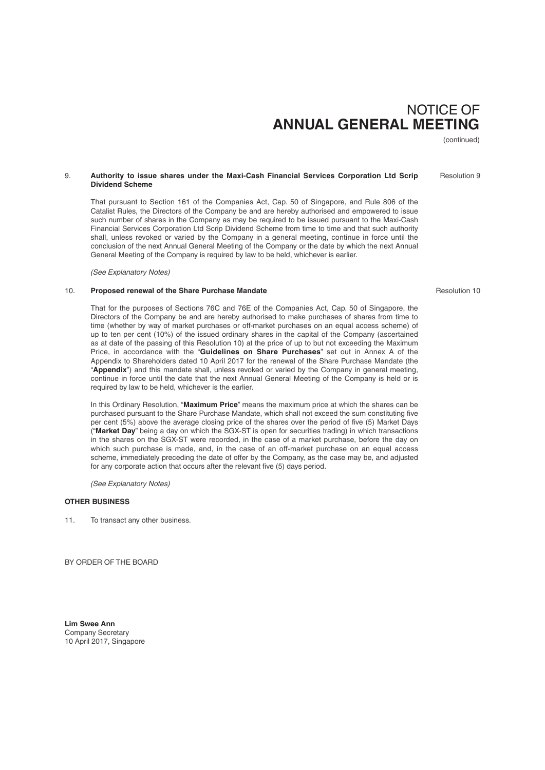(continued)

Resolution 9

## 9. **Authority to issue shares under the Maxi-Cash Financial Services Corporation Ltd Scrip Dividend Scheme**

That pursuant to Section 161 of the Companies Act, Cap. 50 of Singapore, and Rule 806 of the Catalist Rules, the Directors of the Company be and are hereby authorised and empowered to issue such number of shares in the Company as may be required to be issued pursuant to the Maxi-Cash Financial Services Corporation Ltd Scrip Dividend Scheme from time to time and that such authority shall, unless revoked or varied by the Company in a general meeting, continue in force until the conclusion of the next Annual General Meeting of the Company or the date by which the next Annual General Meeting of the Company is required by law to be held, whichever is earlier.

*(See Explanatory Notes)*

## 10. **Proposed renewal of the Share Purchase Mandate**

That for the purposes of Sections 76C and 76E of the Companies Act, Cap. 50 of Singapore, the Directors of the Company be and are hereby authorised to make purchases of shares from time to time (whether by way of market purchases or off -market purchases on an equal access scheme) of up to ten per cent (10%) of the issued ordinary shares in the capital of the Company (ascertained as at date of the passing of this Resolution 10) at the price of up to but not exceeding the Maximum Price, in accordance with the "**Guidelines on Share Purchases**" set out in Annex A of the Appendix to Shareholders dated 10 April 2017 for the renewal of the Share Purchase Mandate (the "**Appendix**") and this mandate shall, unless revoked or varied by the Company in general meeting, continue in force until the date that the next Annual General Meeting of the Company is held or is required by law to be held, whichever is the earlier.

In this Ordinary Resolution, "**Maximum Price**" means the maximum price at which the shares can be purchased pursuant to the Share Purchase Mandate, which shall not exceed the sum constituting five per cent (5%) above the average closing price of the shares over the period of five (5) Market Days ("**Market Day**" being a day on which the SGX-ST is open for securities trading) in which transactions in the shares on the SGX-ST were recorded, in the case of a market purchase, before the day on which such purchase is made, and, in the case of an off-market purchase on an equal access scheme, immediately preceding the date of offer by the Company, as the case may be, and adjusted for any corporate action that occurs after the relevant five (5) days period.

*(See Explanatory Notes)*

## **OTHER BUSINESS**

11. To transact any other business.

BY ORDER OF THE BOARD

**Lim Swee Ann** Company Secretary 10 April 2017, Singapore Resolution 10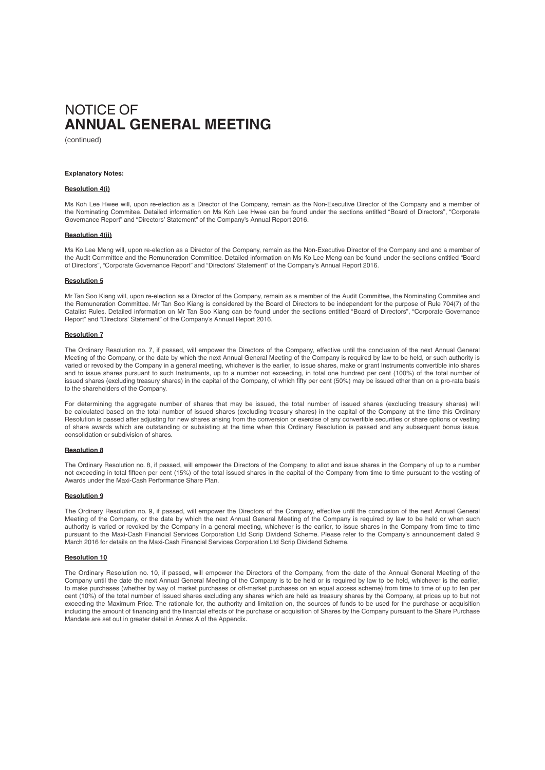(continued)

### **Explanatory Notes:**

### **Resolution 4(i)**

Ms Koh Lee Hwee will, upon re-election as a Director of the Company, remain as the Non-Executive Director of the Company and a member of the Nominating Commitee. Detailed information on Ms Koh Lee Hwee can be found under the sections entitled "Board of Directors", "Corporate Governance Report" and "Directors' Statement" of the Company's Annual Report 2016.

### **Resolution 4(ii)**

Ms Ko Lee Meng will, upon re-election as a Director of the Company, remain as the Non-Executive Director of the Company and and a member of the Audit Committee and the Remuneration Committee. Detailed information on Ms Ko Lee Meng can be found under the sections entitled "Board of Directors", "Corporate Governance Report" and "Directors' Statement" of the Company's Annual Report 2016.

#### **Resolution 5**

Mr Tan Soo Kiang will, upon re-election as a Director of the Company, remain as a member of the Audit Committee, the Nominating Commitee and the Remuneration Committee. Mr Tan Soo Kiang is considered by the Board of Directors to be independent for the purpose of Rule 704(7) of the Catalist Rules. Detailed information on Mr Tan Soo Kiang can be found under the sections entitled "Board of Directors", "Corporate Governance Report" and "Directors' Statement" of the Company's Annual Report 2016.

#### **Resolution 7**

The Ordinary Resolution no. 7, if passed, will empower the Directors of the Company, effective until the conclusion of the next Annual General Meeting of the Company, or the date by which the next Annual General Meeting of the Company is required by law to be held, or such authority is varied or revoked by the Company in a general meeting, whichever is the earlier, to issue shares, make or grant Instruments convertible into shares and to issue shares pursuant to such Instruments, up to a number not exceeding, in total one hundred per cent (100%) of the total number of issued shares (excluding treasury shares) in the capital of the Company, of which fifty per cent (50%) may be issued other than on a pro-rata basis to the shareholders of the Company.

For determining the aggregate number of shares that may be issued, the total number of issued shares (excluding treasury shares) will be calculated based on the total number of issued shares (excluding treasury shares) in the capital of the Company at the time this Ordinary Resolution is passed after adjusting for new shares arising from the conversion or exercise of any convertible securities or share options or vesting of share awards which are outstanding or subsisting at the time when this Ordinary Resolution is passed and any subsequent bonus issue, consolidation or subdivision of shares.

#### **Resolution 8**

The Ordinary Resolution no. 8, if passed, will empower the Directors of the Company, to allot and issue shares in the Company of up to a number not exceeding in total fifteen per cent (15%) of the total issued shares in the capital of the Company from time to time pursuant to the vesting of Awards under the Maxi-Cash Performance Share Plan.

### **Resolution 9**

The Ordinary Resolution no. 9, if passed, will empower the Directors of the Company, effective until the conclusion of the next Annual General Meeting of the Company, or the date by which the next Annual General Meeting of the Company is required by law to be held or when such authority is varied or revoked by the Company in a general meeting, whichever is the earlier, to issue shares in the Company from time to time pursuant to the Maxi-Cash Financial Services Corporation Ltd Scrip Dividend Scheme. Please refer to the Company's announcement dated 9 March 2016 for details on the Maxi-Cash Financial Services Corporation Ltd Scrip Dividend Scheme.

### **Resolution 10**

The Ordinary Resolution no. 10, if passed, will empower the Directors of the Company, from the date of the Annual General Meeting of the Company until the date the next Annual General Meeting of the Company is to be held or is required by law to be held, whichever is the earlier, to make purchases (whether by way of market purchases or off -market purchases on an equal access scheme) from time to time of up to ten per cent (10%) of the total number of issued shares excluding any shares which are held as treasury shares by the Company, at prices up to but not exceeding the Maximum Price. The rationale for, the authority and limitation on, the sources of funds to be used for the purchase or acquisition including the amount of financing and the financial effects of the purchase or acquisition of Shares by the Company pursuant to the Share Purchase Mandate are set out in greater detail in Annex A of the Appendix.